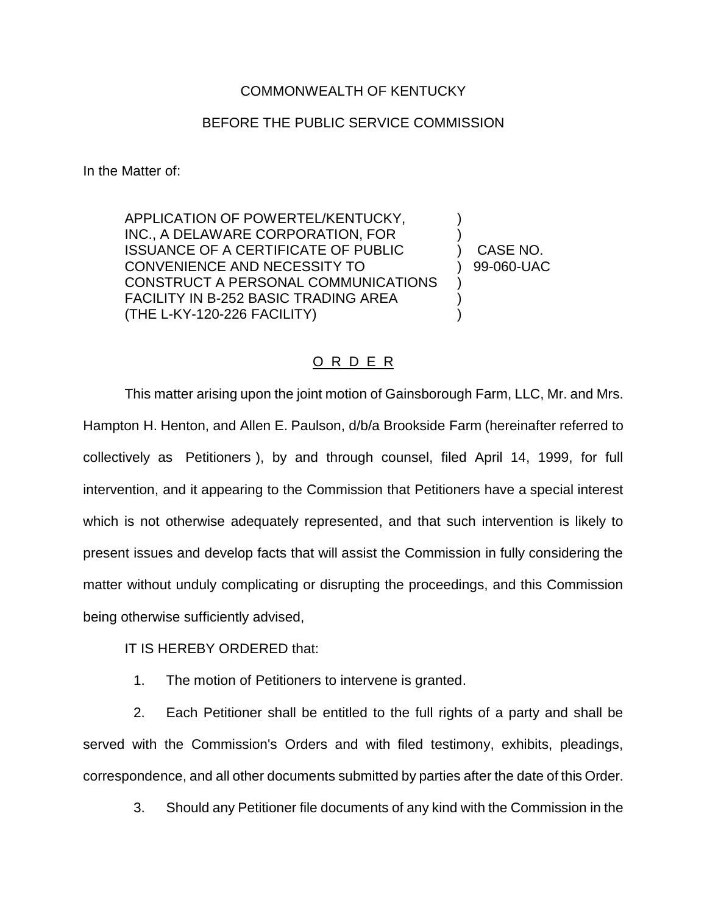## COMMONWEALTH OF KENTUCKY

## BEFORE THE PUBLIC SERVICE COMMISSION

In the Matter of:

APPLICATION OF POWERTEL/KENTUCKY, ) INC., A DELAWARE CORPORATION, FOR ISSUANCE OF A CERTIFICATE OF PUBLIC ) CASE NO. CONVENIENCE AND NECESSITY TO  $99-060$ -UAC CONSTRUCT A PERSONAL COMMUNICATIONS ) FACILITY IN B-252 BASIC TRADING AREA  $\qquad \qquad$  ) (THE L-KY-120-226 FACILITY) )

## O R D E R

This matter arising upon the joint motion of Gainsborough Farm, LLC, Mr. and Mrs. Hampton H. Henton, and Allen E. Paulson, d/b/a Brookside Farm (hereinafter referred to collectively as Petitioners ), by and through counsel, filed April 14, 1999, for full intervention, and it appearing to the Commission that Petitioners have a special interest which is not otherwise adequately represented, and that such intervention is likely to present issues and develop facts that will assist the Commission in fully considering the matter without unduly complicating or disrupting the proceedings, and this Commission being otherwise sufficiently advised,

IT IS HEREBY ORDERED that:

1. The motion of Petitioners to intervene is granted.

2. Each Petitioner shall be entitled to the full rights of a party and shall be served with the Commission's Orders and with filed testimony, exhibits, pleadings, correspondence, and all other documents submitted by parties after the date of this Order.

3. Should any Petitioner file documents of any kind with the Commission in the